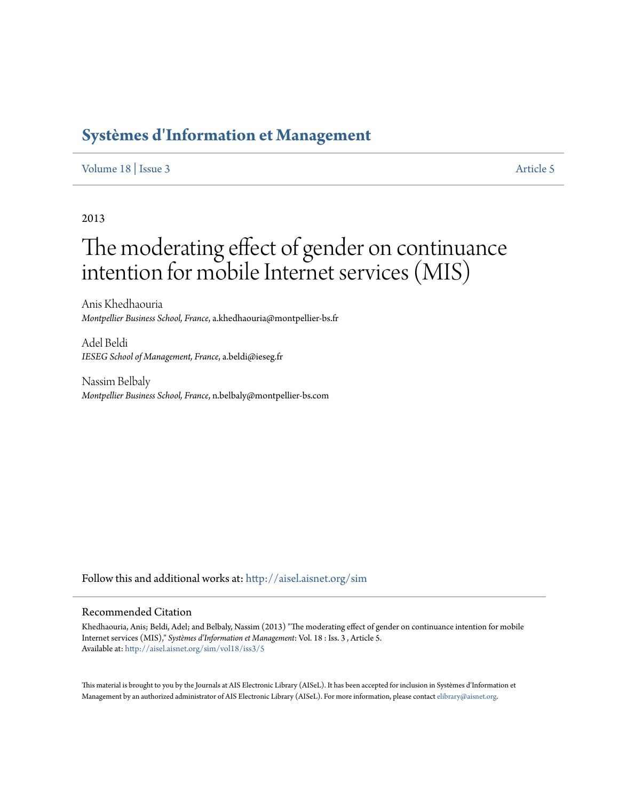## **[Systèmes d'Information et Management](http://aisel.aisnet.org/sim?utm_source=aisel.aisnet.org%2Fsim%2Fvol18%2Fiss3%2F5&utm_medium=PDF&utm_campaign=PDFCoverPages)**

## [Volume 18](http://aisel.aisnet.org/sim/vol18?utm_source=aisel.aisnet.org%2Fsim%2Fvol18%2Fiss3%2F5&utm_medium=PDF&utm_campaign=PDFCoverPages) | [Issue 3](http://aisel.aisnet.org/sim/vol18/iss3?utm_source=aisel.aisnet.org%2Fsim%2Fvol18%2Fiss3%2F5&utm_medium=PDF&utm_campaign=PDFCoverPages) [Article 5](http://aisel.aisnet.org/sim/vol18/iss3/5?utm_source=aisel.aisnet.org%2Fsim%2Fvol18%2Fiss3%2F5&utm_medium=PDF&utm_campaign=PDFCoverPages)

## 2013

# The moderating effect of gender on continuance intention for mobile Internet services (MIS)

Anis Khedhaouria *Montpellier Business School, France*, a.khedhaouria@montpellier-bs.fr

Adel Beldi *IESEG School of Management, France*, a.beldi@ieseg.fr

Nassim Belbaly *Montpellier Business School, France*, n.belbaly@montpellier-bs.com

Follow this and additional works at: [http://aisel.aisnet.org/sim](http://aisel.aisnet.org/sim?utm_source=aisel.aisnet.org%2Fsim%2Fvol18%2Fiss3%2F5&utm_medium=PDF&utm_campaign=PDFCoverPages)

## Recommended Citation

Khedhaouria, Anis; Beldi, Adel; and Belbaly, Nassim (2013) "The moderating effect of gender on continuance intention for mobile Internet services (MIS)," *Systèmes d'Information et Management*: Vol. 18 : Iss. 3 , Article 5. Available at: [http://aisel.aisnet.org/sim/vol18/iss3/5](http://aisel.aisnet.org/sim/vol18/iss3/5?utm_source=aisel.aisnet.org%2Fsim%2Fvol18%2Fiss3%2F5&utm_medium=PDF&utm_campaign=PDFCoverPages)

This material is brought to you by the Journals at AIS Electronic Library (AISeL). It has been accepted for inclusion in Systèmes d'Information et Management by an authorized administrator of AIS Electronic Library (AISeL). For more information, please contact [elibrary@aisnet.org](mailto:elibrary@aisnet.org%3E).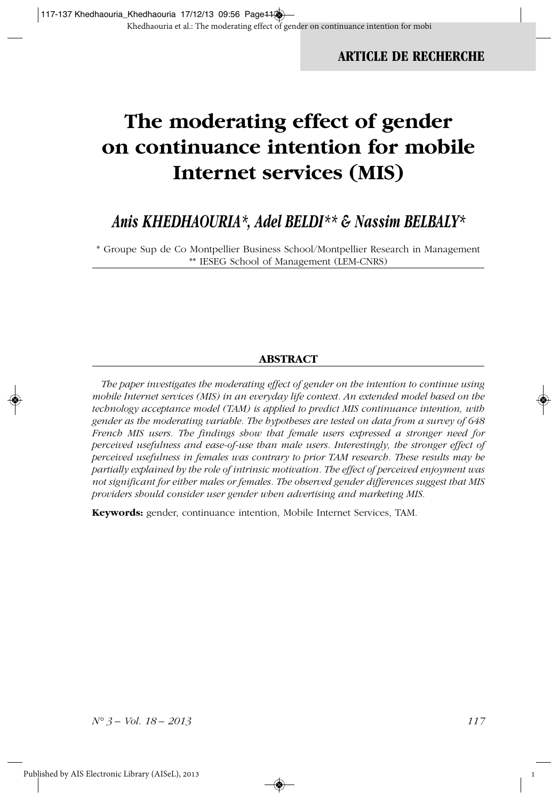## **ARTICLE DE RECHERCHE**

## **The moderating effect of gender on continuance intention for mobile Internet services (MIS)**

*Anis KHEDHAOURIA\*, Adel BELDI\*\* & Nassim BELBALY\**

\* Groupe Sup de Co Montpellier Business School/Montpellier Research in Management \*\* IESEG School of Management (LEM-CNRS)

#### **ABSTRACT**

*The paper investigates the moderating effect of gender on the intention to continue using mobile Internet services (MIS) in an everyday life context. An extended model based on the technology acceptance model (TAM) is applied to predict MIS continuance intention, with gender as the moderating variable. The hypotheses are tested on data from a survey of 648 French MIS users. The findings show that female users expressed a stronger need for perceived usefulness and ease-of-use than male users. Interestingly, the stronger effect of perceived usefulness in females was contrary to prior TAM research. These results may be partially explained by the role of intrinsic motivation. The effect of perceived enjoyment was not significant for either males or females. The observed gender differences suggest that MIS providers should consider user gender when advertising and marketing MIS.* 

**Keywords:** gender, continuance intention, Mobile Internet Services, TAM.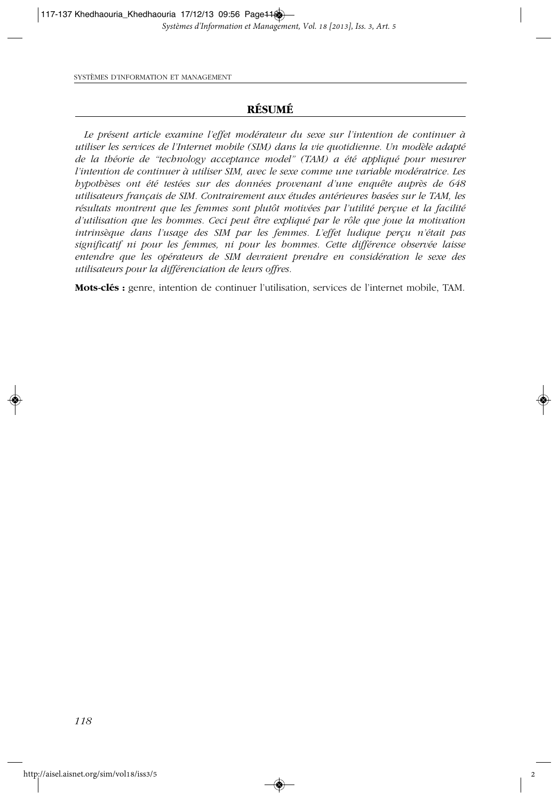#### **RÉSUMÉ**

*Le présent article examine l'effet modérateur du sexe sur l'intention de continuer à utiliser les services de l'Internet mobile (SIM) dans la vie quotidienne. Un modèle adapté de la théorie de "technology acceptance model" (TAM) a été appliqué pour mesurer l'intention de continuer à utiliser SIM, avec le sexe comme une variable modératrice. Les hypothèses ont été testées sur des données provenant d'une enquête auprès de 648 utilisateurs français de SIM. Contrairement aux études antérieures basées sur le TAM, les résultats montrent que les femmes sont plutôt motivées par l'utilité perçue et la facilité d'utilisation que les hommes. Ceci peut être expliqué par le rôle que joue la motivation intrinsèque dans l'usage des SIM par les femmes. L'effet ludique perçu n'était pas significatif ni pour les femmes, ni pour les hommes. Cette différence observée laisse entendre que les opérateurs de SIM devraient prendre en considération le sexe des utilisateurs pour la différenciation de leurs offres.*

**Mots-clés :** genre, intention de continuer l'utilisation, services de l'internet mobile, TAM.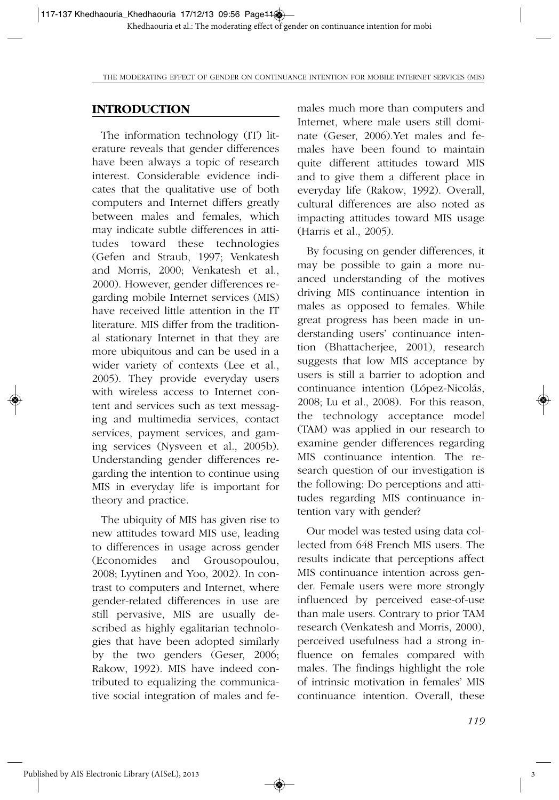## **INTRODUCTION**

The information technology (IT) literature reveals that gender differences have been always a topic of research interest. Considerable evidence indicates that the qualitative use of both computers and Internet differs greatly between males and females, which may indicate subtle differences in attitudes toward these technologies (Gefen and Straub, 1997; Venkatesh and Morris, 2000; Venkatesh et al., 2000). However, gender differences regarding mobile Internet services (MIS) have received little attention in the IT literature. MIS differ from the traditional stationary Internet in that they are more ubiquitous and can be used in a wider variety of contexts (Lee et al., 2005). They provide everyday users with wireless access to Internet content and services such as text messaging and multimedia services, contact services, payment services, and gaming services (Nysveen et al., 2005b). Understanding gender differences regarding the intention to continue using MIS in everyday life is important for theory and practice.

The ubiquity of MIS has given rise to new attitudes toward MIS use, leading to differences in usage across gender (Economides and Grousopoulou, 2008; Lyytinen and Yoo, 2002). In contrast to computers and Internet, where gender-related differences in use are still pervasive, MIS are usually described as highly egalitarian technologies that have been adopted similarly by the two genders (Geser, 2006; Rakow, 1992). MIS have indeed contributed to equalizing the communicative social integration of males and females much more than computers and Internet, where male users still dominate (Geser, 2006).Yet males and females have been found to maintain quite different attitudes toward MIS and to give them a different place in everyday life (Rakow, 1992). Overall, cultural differences are also noted as impacting attitudes toward MIS usage (Harris et al., 2005).

By focusing on gender differences, it may be possible to gain a more nuanced understanding of the motives driving MIS continuance intention in males as opposed to females. While great progress has been made in understanding users' continuance intention (Bhattacherjee, 2001), research suggests that low MIS acceptance by users is still a barrier to adoption and continuance intention (López-Nicolás, 2008; Lu et al., 2008). For this reason, the technology acceptance model (TAM) was applied in our research to examine gender differences regarding MIS continuance intention. The research question of our investigation is the following: Do perceptions and attitudes regarding MIS continuance intention vary with gender?

Our model was tested using data collected from 648 French MIS users. The results indicate that perceptions affect MIS continuance intention across gender. Female users were more strongly influenced by perceived ease-of-use than male users. Contrary to prior TAM research (Venkatesh and Morris, 2000), perceived usefulness had a strong influence on females compared with males. The findings highlight the role of intrinsic motivation in females' MIS continuance intention. Overall, these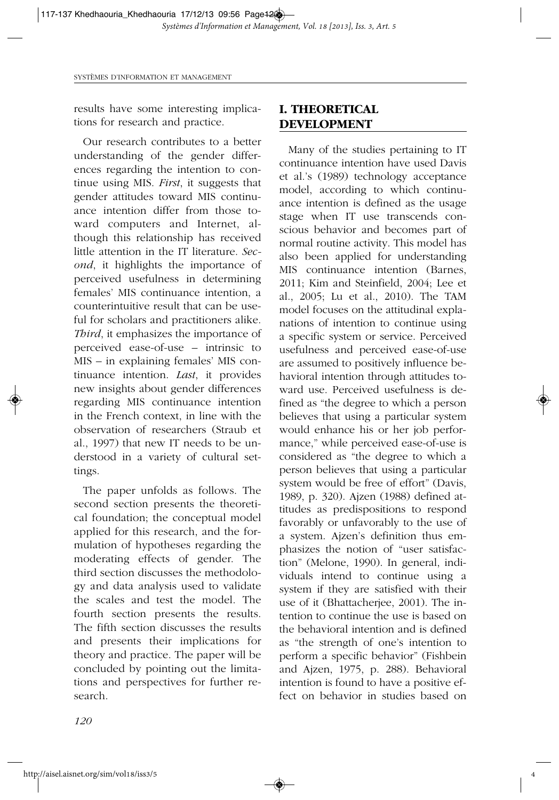results have some interesting implications for research and practice.

Our research contributes to a better understanding of the gender differences regarding the intention to continue using MIS. *First*, it suggests that gender attitudes toward MIS continuance intention differ from those toward computers and Internet, although this relationship has received little attention in the IT literature. *Second*, it highlights the importance of perceived usefulness in determining females' MIS continuance intention, a counterintuitive result that can be useful for scholars and practitioners alike. *Third*, it emphasizes the importance of perceived ease-of-use – intrinsic to MIS – in explaining females' MIS continuance intention. *Last*, it provides new insights about gender differences regarding MIS continuance intention in the French context, in line with the observation of researchers (Straub et al., 1997) that new IT needs to be understood in a variety of cultural settings.

The paper unfolds as follows. The second section presents the theoretical foundation; the conceptual model applied for this research, and the formulation of hypotheses regarding the moderating effects of gender. The third section discusses the methodology and data analysis used to validate the scales and test the model. The fourth section presents the results. The fifth section discusses the results and presents their implications for theory and practice. The paper will be concluded by pointing out the limitations and perspectives for further research.

## **I. THEORETICAL DEVELOPMENT**

Many of the studies pertaining to IT continuance intention have used Davis et al.'s (1989) technology acceptance model, according to which continuance intention is defined as the usage stage when IT use transcends conscious behavior and becomes part of normal routine activity. This model has also been applied for understanding MIS continuance intention (Barnes, 2011; Kim and Steinfield, 2004; Lee et al., 2005; Lu et al., 2010). The TAM model focuses on the attitudinal explanations of intention to continue using a specific system or service. Perceived usefulness and perceived ease-of-use are assumed to positively influence behavioral intention through attitudes toward use. Perceived usefulness is defined as "the degree to which a person believes that using a particular system would enhance his or her job performance," while perceived ease-of-use is considered as "the degree to which a person believes that using a particular system would be free of effort" (Davis, 1989, p. 320). Ajzen (1988) defined attitudes as predispositions to respond favorably or unfavorably to the use of a system. Ajzen's definition thus emphasizes the notion of "user satisfaction" (Melone, 1990). In general, individuals intend to continue using a system if they are satisfied with their use of it (Bhattacherjee, 2001). The intention to continue the use is based on the behavioral intention and is defined as "the strength of one's intention to perform a specific behavior" (Fishbein and Ajzen, 1975, p. 288). Behavioral intention is found to have a positive effect on behavior in studies based on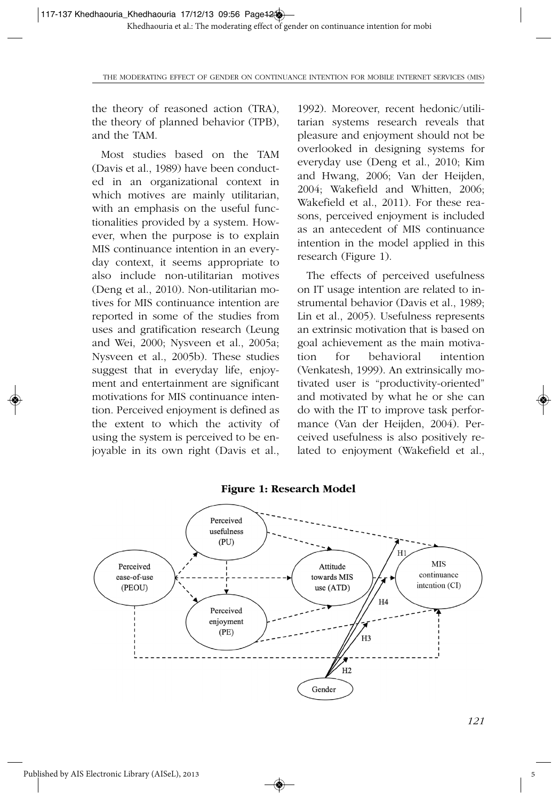the theory of reasoned action (TRA), the theory of planned behavior (TPB), and the TAM.

Most studies based on the TAM (Davis et al., 1989) have been conducted in an organizational context in which motives are mainly utilitarian, with an emphasis on the useful functionalities provided by a system. However, when the purpose is to explain MIS continuance intention in an everyday context, it seems appropriate to also include non-utilitarian motives (Deng et al., 2010). Non-utilitarian motives for MIS continuance intention are reported in some of the studies from uses and gratification research (Leung and Wei, 2000; Nysveen et al., 2005a; Nysveen et al., 2005b). These studies suggest that in everyday life, enjoyment and entertainment are significant motivations for MIS continuance intention. Perceived enjoyment is defined as the extent to which the activity of using the system is perceived to be enjoyable in its own right (Davis et al.,

1992). Moreover, recent hedonic/utilitarian systems research reveals that pleasure and enjoyment should not be overlooked in designing systems for everyday use (Deng et al., 2010; Kim and Hwang, 2006; Van der Heijden, 2004; Wakefield and Whitten, 2006; Wakefield et al., 2011). For these reasons, perceived enjoyment is included as an antecedent of MIS continuance intention in the model applied in this research (Figure 1).

The effects of perceived usefulness on IT usage intention are related to instrumental behavior (Davis et al., 1989; Lin et al., 2005). Usefulness represents an extrinsic motivation that is based on goal achievement as the main motivation for behavioral intention (Venkatesh, 1999). An extrinsically motivated user is "productivity-oriented" and motivated by what he or she can do with the IT to improve task performance (Van der Heijden, 2004). Perceived usefulness is also positively related to enjoyment (Wakefield et al.,

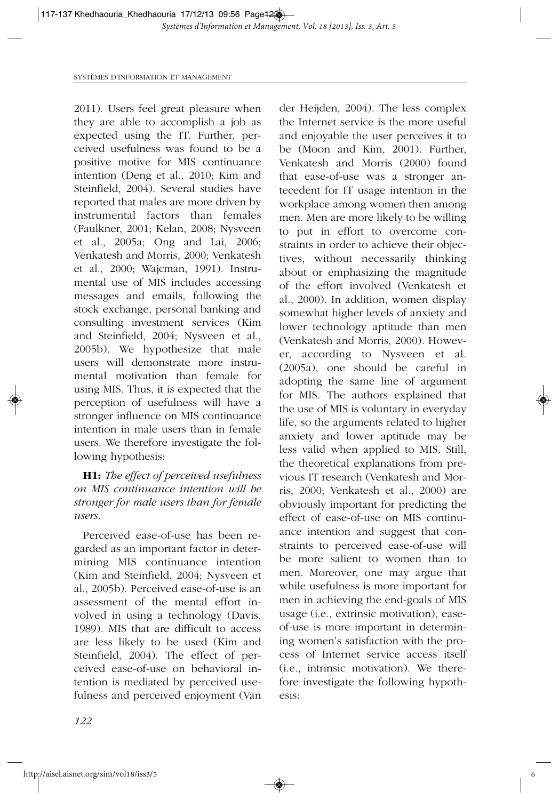2011). Users feel great pleasure when they are able to accomplish a job as expected using the IT. Further, perceived usefulness was found to be a positive motive for MIS continuance intention (Deng et al., 2010; Kim and Steinfield, 2004). Several studies have reported that males are more driven by instrumental factors than females (Faulkner, 2001; Kelan, 2008; Nysveen et al., 2005a; Ong and Lai, 2006; Venkatesh and Morris, 2000; Venkatesh et al., 2000; Wajcman, 1991). Instrumental use of MIS includes accessing messages and emails, following the stock exchange, personal banking and consulting investment services (Kim and Steinfield, 2004; Nysveen et al., 2005b). We hypothesize that male users will demonstrate more instrumental motivation than female for using MIS. Thus, it is expected that the perception of usefulness will have a stronger influence on MIS continuance intention in male users than in female users. We therefore investigate the following hypothesis:

## **H1:** *The effect of perceived usefulness on MIS continuance intention will be stronger for male users than for female users.*

Perceived ease-of-use has been regarded as an important factor in determining MIS continuance intention (Kim and Steinfield, 2004; Nysveen et al., 2005b). Perceived ease-of-use is an assessment of the mental effort involved in using a technology (Davis, 1989). MIS that are difficult to access are less likely to be used (Kim and Steinfield, 2004). The effect of perceived ease-of-use on behavioral intention is mediated by perceived usefulness and perceived enjoyment (Van

der Heijden, 2004). The less complex the Internet service is the more useful and enjoyable the user perceives it to be (Moon and Kim, 2001). Further, Venkatesh and Morris (2000) found that ease-of-use was a stronger antecedent for IT usage intention in the workplace among women then among men. Men are more likely to be willing to put in effort to overcome constraints in order to achieve their objectives, without necessarily thinking about or emphasizing the magnitude of the effort involved (Venkatesh et al., 2000). In addition, women display somewhat higher levels of anxiety and lower technology aptitude than men (Venkatesh and Morris, 2000). However, according to Nysveen et al. (2005a), one should be careful in adopting the same line of argument for MIS. The authors explained that the use of MIS is voluntary in everyday life, so the arguments related to higher anxiety and lower aptitude may be less valid when applied to MIS. Still, the theoretical explanations from previous IT research (Venkatesh and Morris, 2000; Venkatesh et al., 2000) are obviously important for predicting the effect of ease-of-use on MIS continuance intention and suggest that constraints to perceived ease-of-use will be more salient to women than to men. Moreover, one may argue that while usefulness is more important for men in achieving the end-goals of MIS usage (i.e., extrinsic motivation), easeof-use is more important in determining women's satisfaction with the process of Internet service access itself (i.e., intrinsic motivation). We therefore investigate the following hypothesis: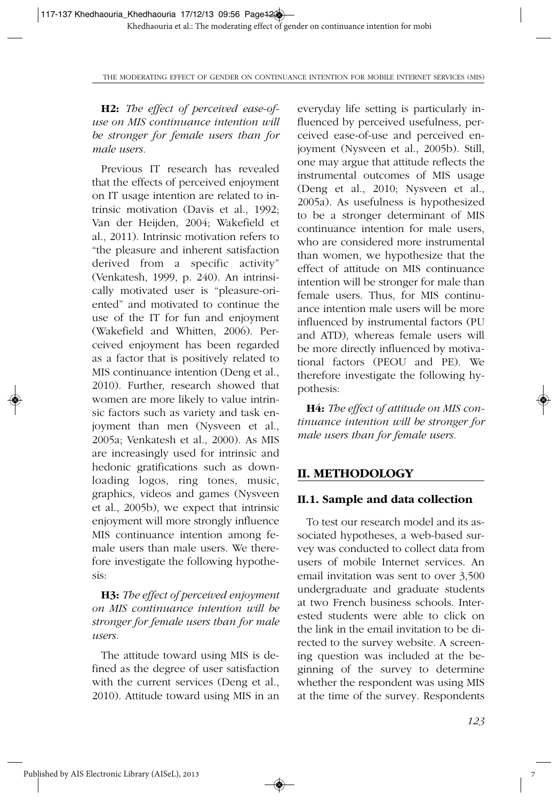**H2:** *The effect of perceived ease-ofuse on MIS continuance intention will be stronger for female users than for male users.*

Previous IT research has revealed that the effects of perceived enjoyment on IT usage intention are related to intrinsic motivation (Davis et al., 1992; Van der Heijden, 2004; Wakefield et al., 2011). Intrinsic motivation refers to "the pleasure and inherent satisfaction derived from a specific activity" (Venkatesh, 1999, p. 240). An intrinsically motivated user is "pleasure-oriented" and motivated to continue the use of the IT for fun and enjoyment (Wakefield and Whitten, 2006). Perceived enjoyment has been regarded as a factor that is positively related to MIS continuance intention (Deng et al., 2010). Further, research showed that women are more likely to value intrinsic factors such as variety and task enjoyment than men (Nysveen et al., 2005a; Venkatesh et al., 2000). As MIS are increasingly used for intrinsic and hedonic gratifications such as downloading logos, ring tones, music, graphics, videos and games (Nysveen et al., 2005b), we expect that intrinsic enjoyment will more strongly influence MIS continuance intention among female users than male users. We therefore investigate the following hypothesis:

**H3:** *The effect of perceived enjoyment on MIS continuance intention will be stronger for female users than for male users.*

The attitude toward using MIS is defined as the degree of user satisfaction with the current services (Deng et al., 2010). Attitude toward using MIS in an everyday life setting is particularly influenced by perceived usefulness, perceived ease-of-use and perceived enjoyment (Nysveen et al., 2005b). Still, one may argue that attitude reflects the instrumental outcomes of MIS usage (Deng et al., 2010; Nysveen et al., 2005a). As usefulness is hypothesized to be a stronger determinant of MIS continuance intention for male users, who are considered more instrumental than women, we hypothesize that the effect of attitude on MIS continuance intention will be stronger for male than female users. Thus, for MIS continuance intention male users will be more influenced by instrumental factors (PU and ATD), whereas female users will be more directly influenced by motivational factors (PEOU and PE). We therefore investigate the following hypothesis:

**H4:** *The effect of attitude on MIS continuance intention will be stronger for male users than for female users.*

## **II. METHODOLOGY**

#### **II.1. Sample and data collection**

To test our research model and its associated hypotheses, a web-based survey was conducted to collect data from users of mobile Internet services. An email invitation was sent to over 3,500 undergraduate and graduate students at two French business schools. Interested students were able to click on the link in the email invitation to be directed to the survey website. A screening question was included at the beginning of the survey to determine whether the respondent was using MIS at the time of the survey. Respondents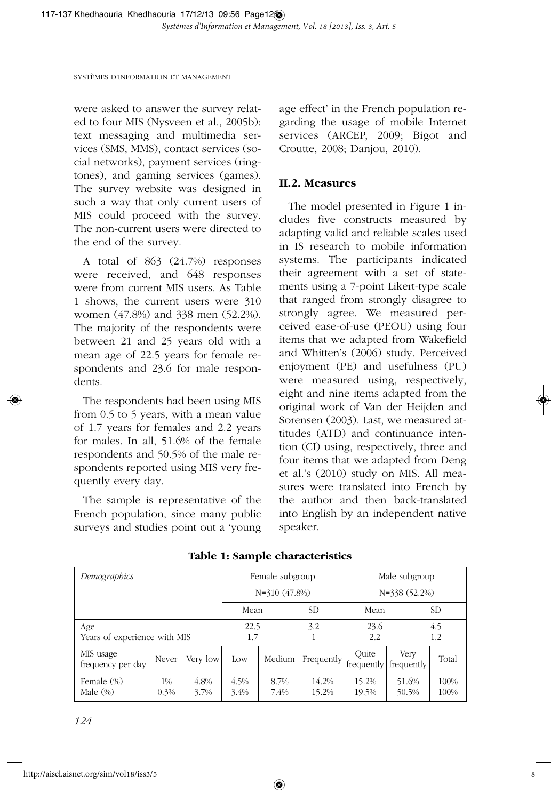were asked to answer the survey related to four MIS (Nysveen et al., 2005b): text messaging and multimedia services (SMS, MMS), contact services (social networks), payment services (ringtones), and gaming services (games). The survey website was designed in such a way that only current users of MIS could proceed with the survey. The non-current users were directed to the end of the survey.

A total of 863 (24.7%) responses were received, and 648 responses were from current MIS users. As Table 1 shows, the current users were 310 women (47.8%) and 338 men (52.2%). The majority of the respondents were between 21 and 25 years old with a mean age of 22.5 years for female respondents and 23.6 for male respondents.

The respondents had been using MIS from 0.5 to 5 years, with a mean value of 1.7 years for females and 2.2 years for males. In all, 51.6% of the female respondents and 50.5% of the male respondents reported using MIS very frequently every day.

The sample is representative of the French population, since many public surveys and studies point out a 'young age effect' in the French population regarding the usage of mobile Internet services (ARCEP, 2009; Bigot and Croutte, 2008; Danjou, 2010).

#### **II.2. Measures**

The model presented in Figure 1 includes five constructs measured by adapting valid and reliable scales used in IS research to mobile information systems. The participants indicated their agreement with a set of statements using a 7-point Likert-type scale that ranged from strongly disagree to strongly agree. We measured perceived ease-of-use (PEOU) using four items that we adapted from Wakefield and Whitten's (2006) study. Perceived enjoyment (PE) and usefulness (PU) were measured using, respectively, eight and nine items adapted from the original work of Van der Heijden and Sorensen (2003). Last, we measured attitudes (ATD) and continuance intention (CI) using, respectively, three and four items that we adapted from Deng et al.'s (2010) study on MIS. All measures were translated into French by the author and then back-translated into English by an independent native speaker.

| Demographics                        |                  |              |                 | Female subgroup |                   | Male subgroup       |                    |                |
|-------------------------------------|------------------|--------------|-----------------|-----------------|-------------------|---------------------|--------------------|----------------|
|                                     |                  |              |                 | $N=310(47.8%)$  |                   |                     | $N=338(52.2%)$     |                |
|                                     |                  |              | Mean            |                 | SD <sub>1</sub>   | Mean                |                    | SD <sub></sub> |
| Age<br>Years of experience with MIS |                  |              | 22.5<br>1.7     |                 | 3.2               | 23.6<br>2.2         |                    | 4.5<br>1.2     |
| MIS usage<br>frequency per day      | Never            | Very low     | Low             | Medium          | <b>Frequently</b> | Quite<br>frequently | Very<br>frequently | Total          |
| Female $(\% )$<br>Male $(\%)$       | $1\%$<br>$0.3\%$ | 4.8%<br>3.7% | 4.5%<br>$3.4\%$ | 8.7%<br>7.4%    | 14.2%<br>15.2%    | 15.2%<br>19.5%      | 51.6%<br>50.5%     | 100%<br>100%   |

#### **Table 1: Sample characteristics**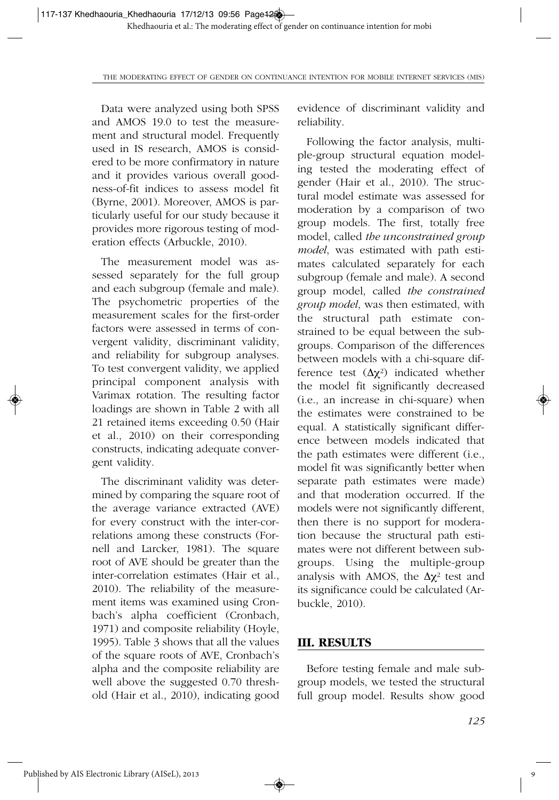Data were analyzed using both SPSS and AMOS 19.0 to test the measurement and structural model. Frequently used in IS research, AMOS is considered to be more confirmatory in nature and it provides various overall goodness-of-fit indices to assess model fit (Byrne, 2001). Moreover, AMOS is particularly useful for our study because it provides more rigorous testing of moderation effects (Arbuckle, 2010).

The measurement model was assessed separately for the full group and each subgroup (female and male). The psychometric properties of the measurement scales for the first-order factors were assessed in terms of convergent validity, discriminant validity, and reliability for subgroup analyses. To test convergent validity, we applied principal component analysis with Varimax rotation. The resulting factor loadings are shown in Table 2 with all 21 retained items exceeding 0.50 (Hair et al., 2010) on their corresponding constructs, indicating adequate convergent validity.

The discriminant validity was determined by comparing the square root of the average variance extracted (AVE) for every construct with the inter-correlations among these constructs (Fornell and Larcker, 1981). The square root of AVE should be greater than the inter-correlation estimates (Hair et al., 2010). The reliability of the measurement items was examined using Cronbach's alpha coefficient (Cronbach, 1971) and composite reliability (Hoyle, 1995). Table 3 shows that all the values of the square roots of AVE, Cronbach's alpha and the composite reliability are well above the suggested 0.70 threshold (Hair et al., 2010), indicating good evidence of discriminant validity and reliability.

Following the factor analysis, multiple-group structural equation modeling tested the moderating effect of gender (Hair et al., 2010). The structural model estimate was assessed for moderation by a comparison of two group models. The first, totally free model, called *the unconstrained group model*, was estimated with path estimates calculated separately for each subgroup (female and male). A second group model, called *the constrained group model*, was then estimated, with the structural path estimate constrained to be equal between the subgroups. Comparison of the differences between models with a chi-square difference test  $(\Delta \chi^2)$  indicated whether the model fit significantly decreased (i.e., an increase in chi-square) when the estimates were constrained to be equal. A statistically significant difference between models indicated that the path estimates were different (i.e., model fit was significantly better when separate path estimates were made) and that moderation occurred. If the models were not significantly different, then there is no support for moderation because the structural path estimates were not different between subgroups. Using the multiple-group analysis with AMOS, the  $\Delta \chi^2$  test and its significance could be calculated (Arbuckle, 2010).

## **III. RESULTS**

Before testing female and male subgroup models, we tested the structural full group model. Results show good

*125*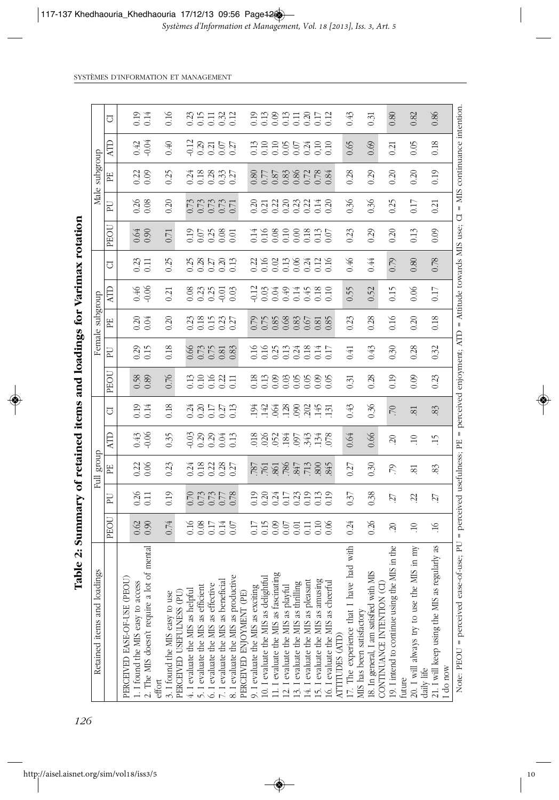| ;<br>;                                      |
|---------------------------------------------|
| <b>The distance of the Case of the Case</b> |
| -<br>-<br>-<br>-<br>;                       |
|                                             |
|                                             |
| i<br>İ                                      |
|                                             |
|                                             |
| announced the change of the concentration   |
| )<br>i                                      |
| $\frac{1}{2}$                               |

| gg<br>Retained items and loadir                               |                                       |                          | dno.fa<br>Full |                  |                                                                         |                      | Female                     |                | dnorgqns                         |                      |                         | Male                   | dno.faqns                                                     |                       |                        |
|---------------------------------------------------------------|---------------------------------------|--------------------------|----------------|------------------|-------------------------------------------------------------------------|----------------------|----------------------------|----------------|----------------------------------|----------------------|-------------------------|------------------------|---------------------------------------------------------------|-----------------------|------------------------|
|                                                               | PEOU                                  | Eq                       | PE             | Æ                | ਹ                                                                       | PEOU                 | $_{\rm 11}$                | Ë              | Æ                                | ਠ                    | PEOU                    | Eq                     | PE                                                            | Æ                     | J                      |
| $\cap$<br>PERCEIVED EASE-OF-USE (PEOI                         |                                       |                          |                |                  |                                                                         |                      |                            |                |                                  |                      |                         |                        |                                                               |                       |                        |
| 1. I found the MIS easy to access                             |                                       | $0.26$<br>$0.11$         |                |                  | $0.19$<br>$0.14$                                                        |                      | $0.29$<br>0.15             |                |                                  | $\frac{0.23}{0.11}$  | 0.64                    |                        | 0.22                                                          | $0.42$<br>$-0.04$     | $0.19$<br>$0.14$       |
| of mental<br>2. The MIS doesn't require a lot                 | 0.62                                  |                          | 0.28           | $0.43$<br>$0.06$ |                                                                         | 0.58                 |                            | 0.36           | $0.46$<br>0.06                   |                      |                         | $0.26$<br>0.08         |                                                               |                       |                        |
| effort                                                        |                                       |                          |                |                  |                                                                         |                      |                            |                |                                  |                      |                         |                        |                                                               |                       |                        |
| 3. I found the MIS easy to use                                | 0.74                                  | 0.19                     | 0.23           | 0.35             | 0.18                                                                    | 0.76                 | 0.18                       | 0.20           | 0.21                             | 0.25                 | 0.71                    | 0.20                   | 0.25                                                          | 0.40                  | 0.16                   |
| PERCEIVED USEFULNESS (PU)                                     |                                       |                          |                |                  |                                                                         |                      |                            |                |                                  |                      |                         |                        |                                                               |                       |                        |
| 4. I evaluate the MIS as helpful                              |                                       |                          |                |                  |                                                                         |                      |                            |                |                                  |                      |                         |                        |                                                               |                       |                        |
| 5. I evaluate the MIS as efficient                            |                                       |                          |                |                  |                                                                         |                      |                            |                |                                  |                      |                         |                        |                                                               |                       |                        |
| 6. I evaluate the MIS as effective                            |                                       |                          |                |                  |                                                                         |                      |                            |                |                                  |                      |                         |                        |                                                               |                       |                        |
| 7. I evaluate the MIS as beneficial                           | 70.00<br>0.000<br>0.000               | 829<br>023<br>025<br>025 | 33385<br>23385 | 33334<br>93334   | 3<br>3<br>3<br>3<br>3<br>5<br>3<br>3<br>3<br>3<br>3<br>3<br>3<br>3<br>3 | 0.38811              | 86<br>0.75<br>0.88<br>0.89 | 33535<br>23535 | 883558<br>88955                  | 23223<br>23233       |                         | 525<br>2000<br>2000    | $\begin{array}{c}\n 34.8837 \\ 0.0000 \\ 0.000\n \end{array}$ | 0.29<br>0.21<br>0.007 | 3311311<br>00000       |
| 8. I evaluate the MIS as productive                           |                                       |                          |                |                  |                                                                         |                      |                            |                |                                  |                      |                         |                        |                                                               |                       |                        |
| PERCEIVED ENJOYMENT (PE)                                      |                                       |                          |                |                  |                                                                         |                      |                            |                |                                  |                      |                         |                        |                                                               |                       |                        |
| 9. I evaluate the MIS as exciting                             |                                       |                          |                |                  |                                                                         |                      |                            |                |                                  |                      |                         |                        |                                                               |                       |                        |
| 10. I evaluate the MIS as delightful                          | 325000110<br>00000011000<br>000000000 | 283123223<br>283123223   | 858887388      | 382335334        |                                                                         | 33385585<br>33355585 | 99833334<br>00000334       |                | 0.03<br>0.0349<br>0.049<br>0.033 | 22023842<br>23033842 | 119828810<br>0000000000 | 8<br>2388337<br>298327 |                                                               |                       | 238211811<br>238211811 |
| 11. I evaluate the MIS as fascinating                         |                                       |                          |                |                  |                                                                         |                      |                            |                |                                  |                      |                         |                        |                                                               |                       |                        |
| 12. I evaluate the MIS as playful                             |                                       |                          |                |                  |                                                                         |                      |                            |                |                                  |                      |                         |                        |                                                               |                       |                        |
| 13. I evaluate the MIS as thrilling                           |                                       |                          |                |                  |                                                                         |                      |                            |                |                                  |                      |                         |                        |                                                               |                       |                        |
| 14. I evaluate the MIS as pleasant                            |                                       |                          |                |                  |                                                                         |                      |                            |                |                                  |                      |                         |                        |                                                               |                       |                        |
| 15. I evaluate the MIS as amusing                             |                                       |                          |                |                  |                                                                         |                      |                            |                |                                  |                      |                         |                        |                                                               |                       |                        |
| 16. I evaluate the MIS as cheerful                            |                                       |                          |                |                  |                                                                         |                      |                            |                |                                  | 0.16                 |                         |                        | 0.84                                                          |                       |                        |
| ATTITUDES (ATD)                                               |                                       |                          |                |                  |                                                                         |                      |                            |                |                                  |                      |                         |                        |                                                               |                       |                        |
| with<br>had<br>17. The experience that I have                 | 0.24                                  | 0.37                     | 0.27           | 0.64             | 0.43                                                                    | 0.31                 | 0.41                       | 0.23           | 0.55                             | 0.46                 | 0.23                    | 0.36                   | 0.28                                                          | 0.65                  | 0.43                   |
| MIS has been satisfactory                                     |                                       |                          |                |                  |                                                                         |                      |                            |                |                                  |                      |                         |                        |                                                               |                       |                        |
| ЯS<br>18. In general, I am satisfied with M                   | 0.26                                  | 0.38                     | 0.30           | 0.66             | 0.36                                                                    | 0.28                 | 0.43                       | 0.28           | 0.52                             | 0.44                 | 0.29                    | 0.36                   | 0.29                                                          | 0.69                  | 0.31                   |
| CONTINUANCE INTENTION (CI)                                    |                                       |                          |                |                  |                                                                         |                      |                            |                |                                  |                      |                         |                        |                                                               |                       |                        |
| 19. I intend to continue using the MIS in the                 | $\overline{c}$                        | 27                       | P.             | $\overline{20}$  | $\sqrt{2}$                                                              | 0.19                 | 0.30                       | 0.16           | 0.15                             | 0.79                 | 0.20                    | 0.25                   | 0.20                                                          | 0.21                  | 0.80                   |
| future                                                        |                                       |                          |                |                  |                                                                         |                      |                            |                |                                  |                      |                         |                        |                                                               |                       |                        |
| AIS in my<br>20. I will always try to use the M<br>daily life | $\Xi$                                 | 55                       | ಜ              | $\overline{10}$  | $\overline{8}$                                                          | 0.09                 | 0.28                       | 0.20           | 0.06                             | 0.80                 | 0.13                    | 0.17                   | 0.20                                                          | 0.05                  | 0.82                   |
| $_{3s}$<br>yhaluge.<br>21. I will keep using the MIS as re    | $\widetilde{=}$                       | 27                       | 83             | $\ddot{15}$      | $83\,$                                                                  | 0.23                 | 0.32                       | $0.18\,$       | 0.17                             | 0.78                 | 0.09                    | 0.21                   | 0.19                                                          | 0.18                  | 0.86                   |
| do now                                                        |                                       |                          |                |                  |                                                                         |                      |                            |                |                                  |                      |                         |                        |                                                               |                       |                        |

◈

SYSTÈMES D'INFORMATION ET MANAGEMENT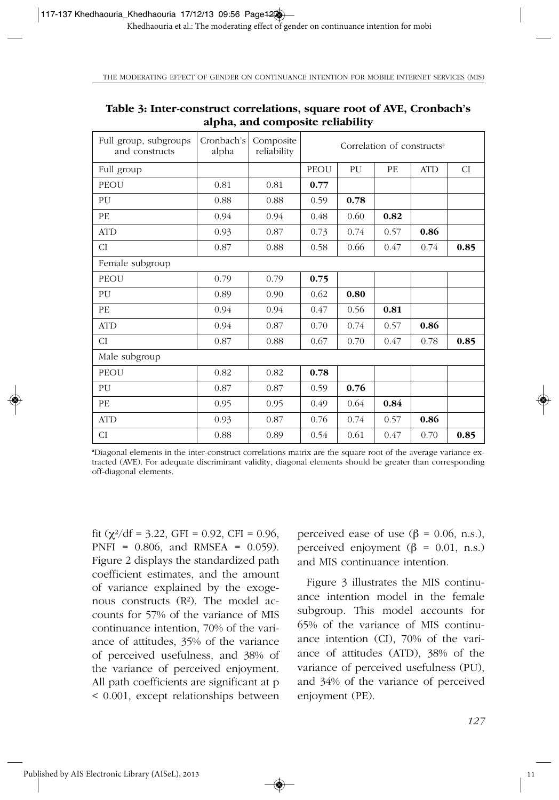| Full group, subgroups<br>and constructs | Cronbach's<br>alpha | Composite<br>reliability |             |      | Correlation of constructs <sup>a</sup> |            |      |
|-----------------------------------------|---------------------|--------------------------|-------------|------|----------------------------------------|------------|------|
| Full group                              |                     |                          | <b>PEOU</b> | PU   | PE                                     | <b>ATD</b> | CI   |
| <b>PEOU</b>                             | 0.81                | 0.81                     | 0.77        |      |                                        |            |      |
| PU                                      | 0.88                | 0.88                     | 0.59        | 0.78 |                                        |            |      |
| PE                                      | 0.94                | 0.94                     | 0.48        | 0.60 | 0.82                                   |            |      |
| <b>ATD</b>                              | 0.93                | 0.87                     | 0.73        | 0.74 | 0.57                                   | 0.86       |      |
| <b>CI</b>                               | 0.87                | 0.88                     | 0.58        | 0.66 | 0.47                                   | 0.74       | 0.85 |
| Female subgroup                         |                     |                          |             |      |                                        |            |      |
| PEOU                                    | 0.79                | 0.79                     | 0.75        |      |                                        |            |      |
| PU                                      | 0.89                | 0.90                     | 0.62        | 0.80 |                                        |            |      |
| <b>PE</b>                               | 0.94                | 0.94                     | 0.47        | 0.56 | 0.81                                   |            |      |
| <b>ATD</b>                              | 0.94                | 0.87                     | 0.70        | 0.74 | 0.57                                   | 0.86       |      |
| <b>CI</b>                               | 0.87                | 0.88                     | 0.67        | 0.70 | 0.47                                   | 0.78       | 0.85 |
| Male subgroup                           |                     |                          |             |      |                                        |            |      |
| <b>PEOU</b>                             | 0.82                | 0.82                     | 0.78        |      |                                        |            |      |
| PU                                      | 0.87                | 0.87                     | 0.59        | 0.76 |                                        |            |      |
| PE                                      | 0.95                | 0.95                     | 0.49        | 0.64 | 0.84                                   |            |      |
| <b>ATD</b>                              | 0.93                | 0.87                     | 0.76        | 0.74 | 0.57                                   | 0.86       |      |
| <b>CI</b>                               | 0.88                | 0.89                     | 0.54        | 0.61 | 0.47                                   | 0.70       | 0.85 |

## **Table 3: Inter-construct correlations, square root of AVE, Cronbach's alpha, and composite reliability**

**a** Diagonal elements in the inter-construct correlations matrix are the square root of the average variance extracted (AVE). For adequate discriminant validity, diagonal elements should be greater than corresponding off-diagonal elements.

fit  $(\chi^2/df = 3.22, GFI = 0.92, CFI = 0.96,$ PNFI = 0.806, and RMSEA = 0.059). Figure 2 displays the standardized path coefficient estimates, and the amount of variance explained by the exogenous constructs (R²). The model accounts for 57% of the variance of MIS continuance intention, 70% of the variance of attitudes, 35% of the variance of perceived usefulness, and 38% of the variance of perceived enjoyment. All path coefficients are significant at p < 0.001, except relationships between

perceived ease of use (β = 0.06, n.s.), perceived enjoyment ( $\beta$  = 0.01, n.s.) and MIS continuance intention.

Figure 3 illustrates the MIS continuance intention model in the female subgroup. This model accounts for 65% of the variance of MIS continuance intention (CI), 70% of the variance of attitudes (ATD), 38% of the variance of perceived usefulness (PU), and 34% of the variance of perceived enjoyment (PE).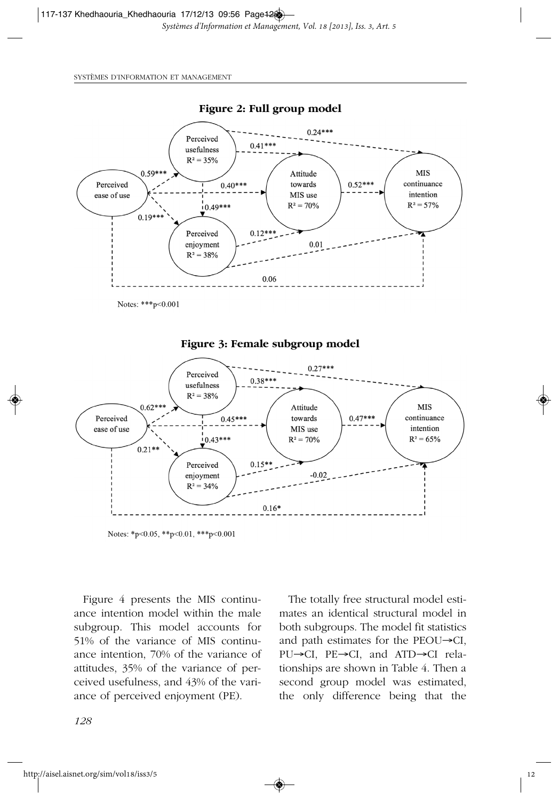





Notes: \*p<0.05, \*\*p<0.01, \*\*\*p<0.001

Figure 4 presents the MIS continuance intention model within the male subgroup. This model accounts for 51% of the variance of MIS continuance intention, 70% of the variance of attitudes, 35% of the variance of perceived usefulness, and 43% of the variance of perceived enjoyment (PE).

The totally free structural model estimates an identical structural model in both subgroups. The model fit statistics and path estimates for the PEOU→CI, PU→CI, PE→CI, and ATD→CI relationships are shown in Table 4. Then a second group model was estimated, the only difference being that the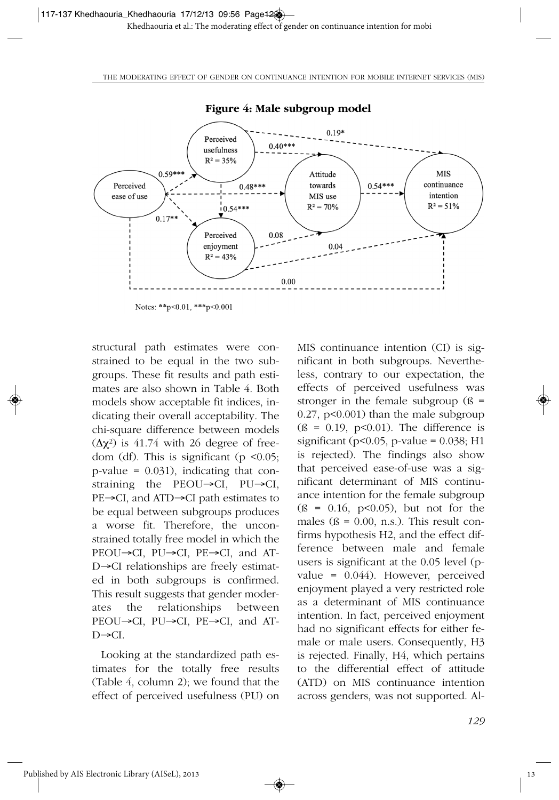

**Figure 4: Male subgroup model**

Notes: \*\*p<0.01, \*\*\*p<0.001

structural path estimates were constrained to be equal in the two subgroups. These fit results and path estimates are also shown in Table 4. Both models show acceptable fit indices, indicating their overall acceptability. The chi-square difference between models  $(Δχ²)$  is 41.74 with 26 degree of freedom (df). This is significant ( $p \le 0.05$ ; p-value = 0.031), indicating that constraining the PEOU→CI, PU→CI, PE→CI, and ATD→CI path estimates to be equal between subgroups produces a worse fit. Therefore, the unconstrained totally free model in which the PEOU→CI, PU→CI, PE→CI, and AT-D→CI relationships are freely estimated in both subgroups is confirmed. This result suggests that gender moderates the relationships between PEOU→CI, PU→CI, PE→CI, and AT- $D \rightarrow CL$ 

Looking at the standardized path estimates for the totally free results (Table 4, column 2); we found that the effect of perceived usefulness (PU) on

MIS continuance intention (CI) is significant in both subgroups. Nevertheless, contrary to our expectation, the effects of perceived usefulness was stronger in the female subgroup  $($ ß = 0.27, p<0.001) than the male subgroup  $($ ß = 0.19, p<0.01). The difference is significant ( $p<0.05$ ,  $p$ -value = 0.038; H1 is rejected). The findings also show that perceived ease-of-use was a significant determinant of MIS continuance intention for the female subgroup  $($ ß = 0.16, p<0.05), but not for the males ( $\beta$  = 0.00, n.s.). This result confirms hypothesis H2, and the effect difference between male and female users is significant at the 0.05 level (pvalue = 0.044). However, perceived enjoyment played a very restricted role as a determinant of MIS continuance intention. In fact, perceived enjoyment had no significant effects for either female or male users. Consequently, H3 is rejected. Finally, H4, which pertains to the differential effect of attitude (ATD) on MIS continuance intention across genders, was not supported. Al-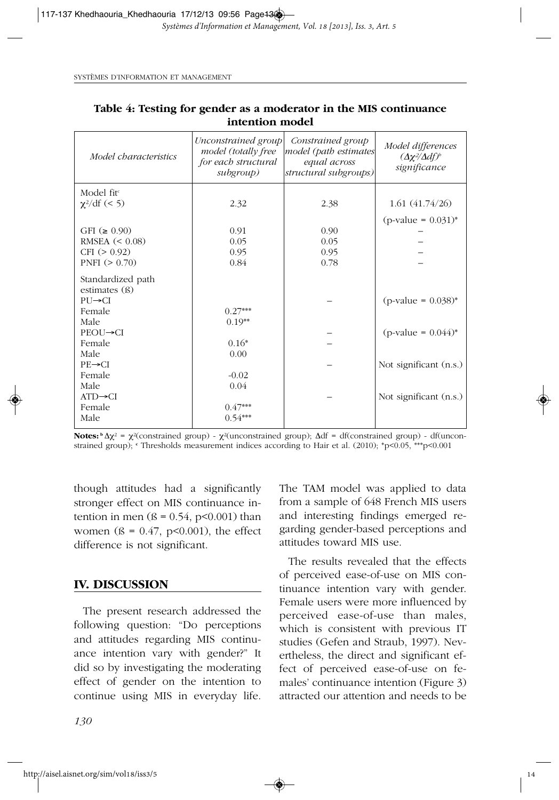| Model characteristics                                     | Unconstrained group<br>model (totally free<br>for each structural<br>subgroup) | Constrained group<br>model (path estimates<br>equal across<br>structural subgroups) | Model differences<br>$(\Delta \chi^2/\Delta d f)^b$<br>significance |
|-----------------------------------------------------------|--------------------------------------------------------------------------------|-------------------------------------------------------------------------------------|---------------------------------------------------------------------|
| Model fit <sup>c</sup>                                    |                                                                                |                                                                                     |                                                                     |
| $\chi^2/\text{df}$ (< 5)                                  | 2.32                                                                           | 2.38                                                                                | 1.61(41.74/26)                                                      |
|                                                           |                                                                                |                                                                                     | $(p-value = 0.031)^*$                                               |
| GFI $( \ge 0.90)$                                         | 0.91                                                                           | 0.90                                                                                |                                                                     |
| RMSEA $(< 0.08)$                                          | 0.05                                                                           | 0.05                                                                                |                                                                     |
| CFI ( > 0.92)                                             | 0.95                                                                           | 0.95                                                                                |                                                                     |
| PNFI $(> 0.70)$                                           | 0.84                                                                           | 0.78                                                                                |                                                                     |
| Standardized path<br>estimates (ß)<br>$PI \rightarrow CI$ |                                                                                |                                                                                     | $(p-value = 0.038)^*$                                               |
| Female                                                    | $0.27***$                                                                      |                                                                                     |                                                                     |
| Male                                                      | $0.19**$                                                                       |                                                                                     |                                                                     |
| $PEOII \rightarrow CI$                                    |                                                                                |                                                                                     | $(p-value = 0.044)^*$                                               |
| Female                                                    | $0.16*$                                                                        |                                                                                     |                                                                     |
| Male                                                      | 0.00                                                                           |                                                                                     |                                                                     |
| $PE \rightarrow CI$                                       |                                                                                |                                                                                     | Not significant (n.s.)                                              |
| Female                                                    | $-0.02$                                                                        |                                                                                     |                                                                     |
| Male                                                      | 0.04                                                                           |                                                                                     |                                                                     |
| $ATD \rightarrow CI$                                      |                                                                                |                                                                                     | Not significant $(n.s.)$                                            |
| Female                                                    | $0.47***$                                                                      |                                                                                     |                                                                     |
| Male                                                      | $0.54***$                                                                      |                                                                                     |                                                                     |

#### **Table 4: Testing for gender as a moderator in the MIS continuance intention model**

**Notes:**  $\Delta \chi^2 = \chi^2$ (constrained group) -  $\chi^2$ (unconstrained group);  $\Delta df = df$ (constrained group) - df(unconstrained group); **c** Thresholds measurement indices according to Hair et al. (2010); \*p<0.05, \*\*\*p<0.001

though attitudes had a significantly stronger effect on MIS continuance intention in men  $(8 = 0.54, p < 0.001)$  than women ( $\beta = 0.47$ , p<0.001), the effect difference is not significant.

## **IV. DISCUSSION**

The present research addressed the following question: "Do perceptions and attitudes regarding MIS continuance intention vary with gender?" It did so by investigating the moderating effect of gender on the intention to continue using MIS in everyday life. The TAM model was applied to data from a sample of 648 French MIS users and interesting findings emerged regarding gender-based perceptions and attitudes toward MIS use.

The results revealed that the effects of perceived ease-of-use on MIS continuance intention vary with gender. Female users were more influenced by perceived ease-of-use than males, which is consistent with previous IT studies (Gefen and Straub, 1997). Nevertheless, the direct and significant effect of perceived ease-of-use on females' continuance intention (Figure 3) attracted our attention and needs to be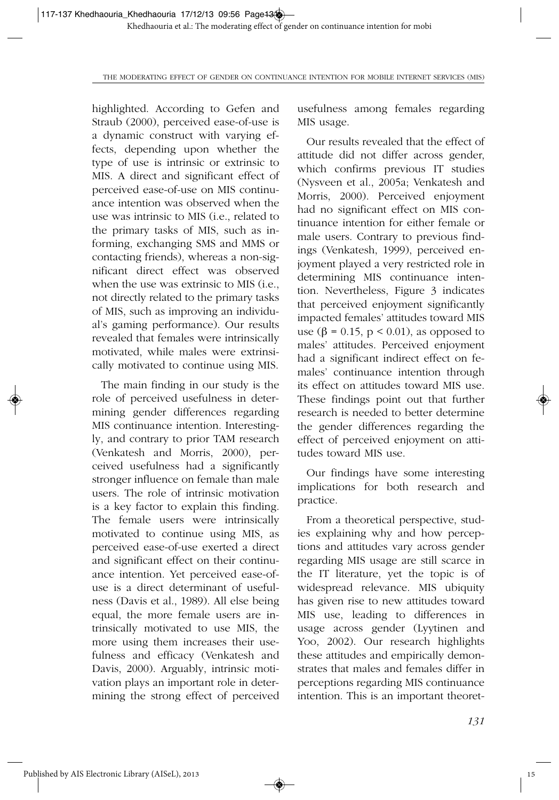highlighted. According to Gefen and Straub (2000), perceived ease-of-use is a dynamic construct with varying effects, depending upon whether the type of use is intrinsic or extrinsic to MIS. A direct and significant effect of perceived ease-of-use on MIS continuance intention was observed when the use was intrinsic to MIS (i.e., related to the primary tasks of MIS, such as informing, exchanging SMS and MMS or contacting friends), whereas a non-significant direct effect was observed when the use was extrinsic to MIS (i.e., not directly related to the primary tasks of MIS, such as improving an individual's gaming performance). Our results revealed that females were intrinsically motivated, while males were extrinsically motivated to continue using MIS.

The main finding in our study is the role of perceived usefulness in determining gender differences regarding MIS continuance intention. Interestingly, and contrary to prior TAM research (Venkatesh and Morris, 2000), perceived usefulness had a significantly stronger influence on female than male users. The role of intrinsic motivation is a key factor to explain this finding. The female users were intrinsically motivated to continue using MIS, as perceived ease-of-use exerted a direct and significant effect on their continuance intention. Yet perceived ease-ofuse is a direct determinant of usefulness (Davis et al., 1989). All else being equal, the more female users are intrinsically motivated to use MIS, the more using them increases their usefulness and efficacy (Venkatesh and Davis, 2000). Arguably, intrinsic motivation plays an important role in determining the strong effect of perceived usefulness among females regarding MIS usage.

Our results revealed that the effect of attitude did not differ across gender, which confirms previous IT studies (Nysveen et al., 2005a; Venkatesh and Morris, 2000). Perceived enjoyment had no significant effect on MIS continuance intention for either female or male users. Contrary to previous findings (Venkatesh, 1999), perceived enjoyment played a very restricted role in determining MIS continuance intention. Nevertheless, Figure 3 indicates that perceived enjoyment significantly impacted females' attitudes toward MIS use ( $\beta$  = 0.15, p < 0.01), as opposed to males' attitudes. Perceived enjoyment had a significant indirect effect on females' continuance intention through its effect on attitudes toward MIS use. These findings point out that further research is needed to better determine the gender differences regarding the effect of perceived enjoyment on attitudes toward MIS use.

Our findings have some interesting implications for both research and practice.

From a theoretical perspective, studies explaining why and how perceptions and attitudes vary across gender regarding MIS usage are still scarce in the IT literature, yet the topic is of widespread relevance. MIS ubiquity has given rise to new attitudes toward MIS use, leading to differences in usage across gender (Lyytinen and Yoo, 2002). Our research highlights these attitudes and empirically demonstrates that males and females differ in perceptions regarding MIS continuance intention. This is an important theoret-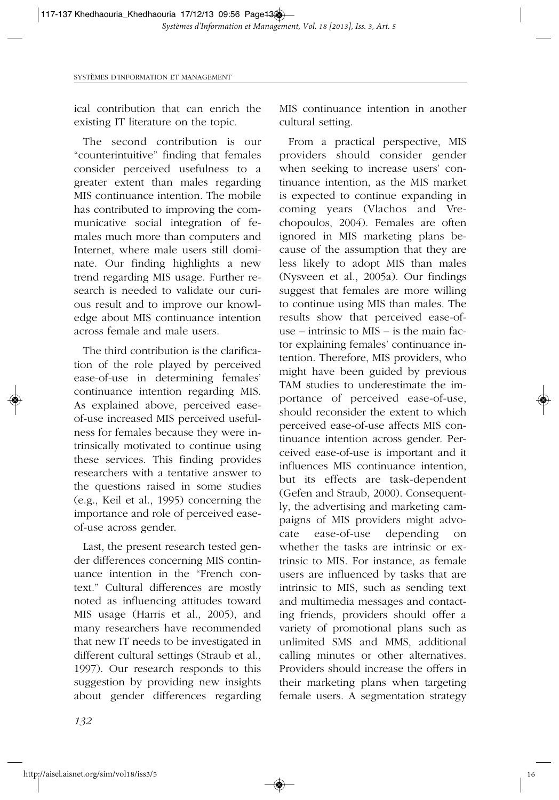ical contribution that can enrich the existing IT literature on the topic.

The second contribution is our "counterintuitive" finding that females consider perceived usefulness to a greater extent than males regarding MIS continuance intention. The mobile has contributed to improving the communicative social integration of females much more than computers and Internet, where male users still dominate. Our finding highlights a new trend regarding MIS usage. Further research is needed to validate our curious result and to improve our knowledge about MIS continuance intention across female and male users.

The third contribution is the clarification of the role played by perceived ease-of-use in determining females' continuance intention regarding MIS. As explained above, perceived easeof-use increased MIS perceived usefulness for females because they were intrinsically motivated to continue using these services. This finding provides researchers with a tentative answer to the questions raised in some studies (e.g., Keil et al., 1995) concerning the importance and role of perceived easeof-use across gender.

Last, the present research tested gender differences concerning MIS continuance intention in the "French context." Cultural differences are mostly noted as influencing attitudes toward MIS usage (Harris et al., 2005), and many researchers have recommended that new IT needs to be investigated in different cultural settings (Straub et al., 1997). Our research responds to this suggestion by providing new insights about gender differences regarding MIS continuance intention in another cultural setting.

From a practical perspective, MIS providers should consider gender when seeking to increase users' continuance intention, as the MIS market is expected to continue expanding in coming years (Vlachos and Vrechopoulos, 2004). Females are often ignored in MIS marketing plans because of the assumption that they are less likely to adopt MIS than males (Nysveen et al., 2005a). Our findings suggest that females are more willing to continue using MIS than males. The results show that perceived ease-ofuse – intrinsic to MIS – is the main factor explaining females' continuance intention. Therefore, MIS providers, who might have been guided by previous TAM studies to underestimate the importance of perceived ease-of-use, should reconsider the extent to which perceived ease-of-use affects MIS continuance intention across gender. Perceived ease-of-use is important and it influences MIS continuance intention, but its effects are task-dependent (Gefen and Straub, 2000). Consequently, the advertising and marketing campaigns of MIS providers might advocate ease-of-use depending on whether the tasks are intrinsic or extrinsic to MIS. For instance, as female users are influenced by tasks that are intrinsic to MIS, such as sending text and multimedia messages and contacting friends, providers should offer a variety of promotional plans such as unlimited SMS and MMS, additional calling minutes or other alternatives. Providers should increase the offers in their marketing plans when targeting female users. A segmentation strategy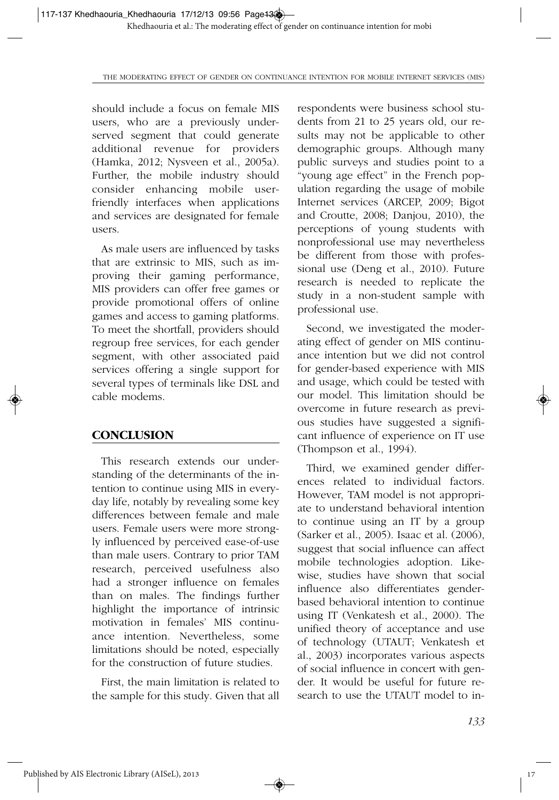should include a focus on female MIS users, who are a previously underserved segment that could generate additional revenue for providers (Hamka, 2012; Nysveen et al., 2005a). Further, the mobile industry should consider enhancing mobile userfriendly interfaces when applications and services are designated for female users.

As male users are influenced by tasks that are extrinsic to MIS, such as improving their gaming performance, MIS providers can offer free games or provide promotional offers of online games and access to gaming platforms. To meet the shortfall, providers should regroup free services, for each gender segment, with other associated paid services offering a single support for several types of terminals like DSL and cable modems.

## **CONCLUSION**

This research extends our understanding of the determinants of the intention to continue using MIS in everyday life, notably by revealing some key differences between female and male users. Female users were more strongly influenced by perceived ease-of-use than male users. Contrary to prior TAM research, perceived usefulness also had a stronger influence on females than on males. The findings further highlight the importance of intrinsic motivation in females' MIS continuance intention. Nevertheless, some limitations should be noted, especially for the construction of future studies.

First, the main limitation is related to the sample for this study. Given that all

respondents were business school students from 21 to 25 years old, our results may not be applicable to other demographic groups. Although many public surveys and studies point to a "young age effect" in the French population regarding the usage of mobile Internet services (ARCEP, 2009; Bigot and Croutte, 2008; Danjou, 2010), the perceptions of young students with nonprofessional use may nevertheless be different from those with professional use (Deng et al., 2010). Future research is needed to replicate the study in a non-student sample with professional use.

Second, we investigated the moderating effect of gender on MIS continuance intention but we did not control for gender-based experience with MIS and usage, which could be tested with our model. This limitation should be overcome in future research as previous studies have suggested a significant influence of experience on IT use (Thompson et al., 1994).

Third, we examined gender differences related to individual factors. However, TAM model is not appropriate to understand behavioral intention to continue using an IT by a group (Sarker et al., 2005). Isaac et al. (2006), suggest that social influence can affect mobile technologies adoption. Likewise, studies have shown that social influence also differentiates genderbased behavioral intention to continue using IT (Venkatesh et al., 2000). The unified theory of acceptance and use of technology (UTAUT; Venkatesh et al., 2003) incorporates various aspects of social influence in concert with gender. It would be useful for future research to use the UTAUT model to in-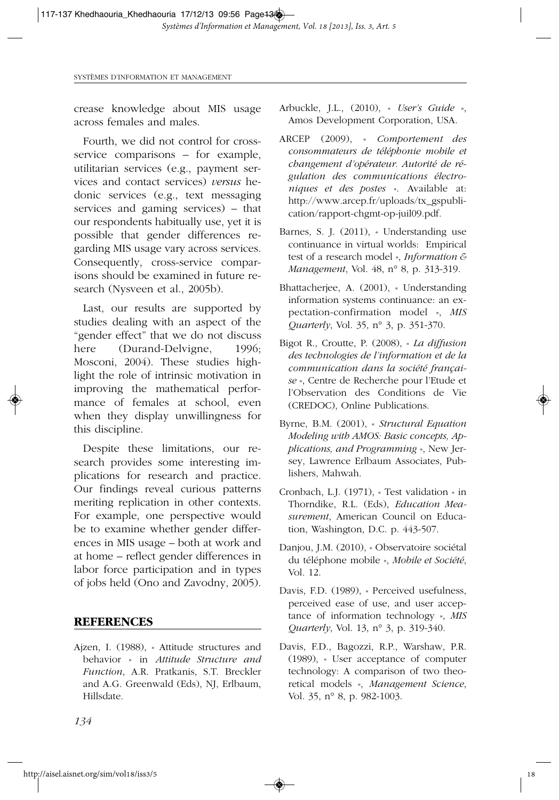crease knowledge about MIS usage across females and males.

Fourth, we did not control for crossservice comparisons – for example, utilitarian services (e.g., payment services and contact services) *versus* hedonic services (e.g., text messaging services and gaming services) – that our respondents habitually use, yet it is possible that gender differences regarding MIS usage vary across services. Consequently, cross-service comparisons should be examined in future research (Nysveen et al., 2005b).

Last, our results are supported by studies dealing with an aspect of the "gender effect" that we do not discuss here (Durand-Delvigne, 1996; Mosconi, 2004). These studies highlight the role of intrinsic motivation in improving the mathematical performance of females at school, even when they display unwillingness for this discipline.

Despite these limitations, our research provides some interesting implications for research and practice. Our findings reveal curious patterns meriting replication in other contexts. For example, one perspective would be to examine whether gender differences in MIS usage – both at work and at home – reflect gender differences in labor force participation and in types of jobs held (Ono and Zavodny, 2005).

#### **REFERENCES**

Ajzen, I. (1988), « Attitude structures and behavior » in *Attitude Structure and Function*, A.R. Pratkanis, S.T. Breckler and A.G. Greenwald (Eds), NJ, Erlbaum, Hillsdate.

Arbuckle, J.L., (2010), « *User's Guide* », Amos Development Corporation, USA.

- ARCEP (2009), « *Comportement des consommateurs de téléphonie mobile et changement d'opérateur. Autorité de régulation des communications électroniques et des postes* ». Available at: http://www.arcep.fr/uploads/tx\_gspublication/rapport-chgmt-op-juil09.pdf.
- Barnes, S. J. (2011), « Understanding use continuance in virtual worlds: Empirical test of a research model », *Information & Management*, Vol. 48, n° 8, p. 313-319.
- Bhattacherjee, A. (2001), « Understanding information systems continuance: an expectation-confirmation model », *MIS Quarterly*, Vol. 35, n° 3, p. 351-370.
- Bigot R., Croutte, P. (2008), « *La diffusion des technologies de l'information et de la communication dans la société française* », Centre de Recherche pour l'Etude et l'Observation des Conditions de Vie (CREDOC), Online Publications.
- Byrne, B.M. (2001), « *Structural Equation Modeling with AMOS: Basic concepts, Applications, and Programming* », New Jersey, Lawrence Erlbaum Associates, Publishers, Mahwah.
- Cronbach, L.J. (1971), « Test validation » in Thorndike, R.L. (Eds), *Education Measurement*, American Council on Education, Washington, D.C. p. 443-507.
- Danjou, J.M. (2010), « Observatoire sociétal du téléphone mobile », *Mobile et Société*, Vol. 12.
- Davis, F.D. (1989), « Perceived usefulness, perceived ease of use, and user acceptance of information technology », *MIS Quarterly*, Vol. 13, n° 3, p. 319-340.
- Davis, F.D., Bagozzi, R.P., Warshaw, P.R. (1989), « User acceptance of computer technology: A comparison of two theoretical models », *Management Science*, Vol. 35, n° 8, p. 982-1003.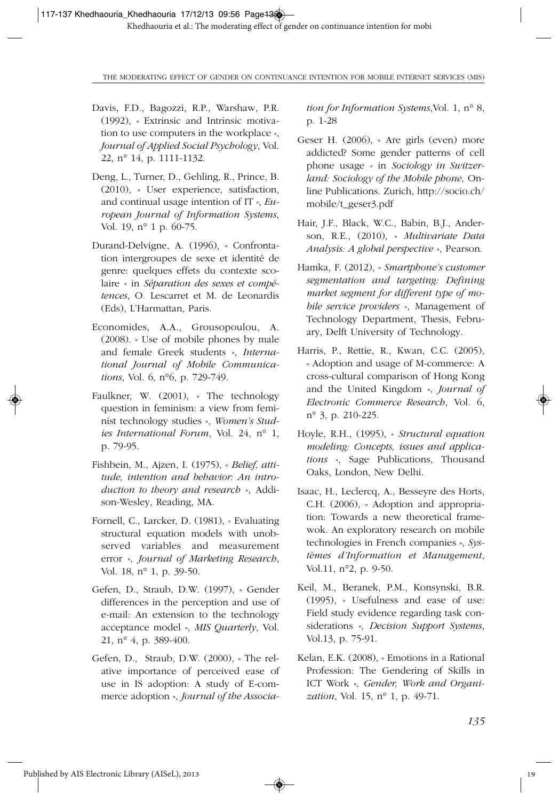- Davis, F.D., Bagozzi, R.P., Warshaw, P.R. (1992), « Extrinsic and Intrinsic motivation to use computers in the workplace », *Journal of Applied Social Psychology*, Vol. 22, n° 14, p. 1111-1132.
- Deng, L., Turner, D., Gehling, R., Prince, B. (2010), « User experience, satisfaction, and continual usage intention of IT », *European Journal of Information Systems*, Vol. 19, n° 1 p. 60-75.
- Durand-Delvigne, A. (1996), « Confrontation intergroupes de sexe et identité de genre: quelques effets du contexte scolaire » in *Séparation des sexes et compétences*, O. Lescarret et M. de Leonardis (Eds), L'Harmattan, Paris.
- Economides, A.A., Grousopoulou, A. (2008). « Use of mobile phones by male and female Greek students », *International Journal of Mobile Communications*, Vol. 6, n°6, p. 729-749.
- Faulkner, W. (2001), « The technology question in feminism: a view from feminist technology studies », *Women's Studies International Forum*, Vol. 24, n° 1, p. 79-95.
- Fishbein, M., Ajzen, I. (1975), « *Belief, attitude, intention and behavior: An introduction to theory and research* », Addison-Wesley, Reading, MA.
- Fornell, C., Larcker, D. (1981), « Evaluating structural equation models with unobserved variables and measurement error », *Journal of Marketing Research*, Vol. 18, n° 1, p. 39-50.
- Gefen, D., Straub, D.W. (1997), « Gender differences in the perception and use of e-mail: An extension to the technology acceptance model », *MIS Quarterly*, Vol. 21, n° 4, p. 389-400.
- Gefen, D., Straub, D.W. (2000), « The relative importance of perceived ease of use in IS adoption: A study of E-commerce adoption », *Journal of the Associa-*

 $\circledast$ 

*tion for Information Systems*,Vol. 1, n° 8, p. 1-28

- Geser H. (2006), « Are girls (even) more addicted? Some gender patterns of cell phone usage » in *Sociology in Switzerland: Sociology of the Mobile phone*, Online Publications. Zurich, http://socio.ch/ mobile/t\_geser3.pdf
- Hair, J.F., Black, W.C., Babin, B.J., Anderson, R.E., (2010), « *Multivariate Data Analysis: A global perspective* », Pearson.
- Hamka, F. (2012), « *Smartphone's customer segmentation and targeting: Defining market segment for different type of mobile service providers* », Management of Technology Department, Thesis, February, Delft University of Technology.
- Harris, P., Rettie, R., Kwan, C.C. (2005), « Adoption and usage of M-commerce: A cross-cultural comparison of Hong Kong and the United Kingdom », *Journal of Electronic Commerce Research*, Vol. 6, n° 3, p. 210-225.
- Hoyle, R.H., (1995), « *Structural equation modeling: Concepts, issues and applications* », Sage Publications, Thousand Oaks, London, New Delhi.
- Isaac, H., Leclercq, A., Besseyre des Horts, C.H. (2006), « Adoption and appropriation: Towards a new theoretical framewok. An exploratory research on mobile technologies in French companies », *Systèmes d'Information et Management*, Vol.11, n°2, p. 9-50.
- Keil, M., Beranek, P.M., Konsynski, B.R. (1995), « Usefulness and ease of use: Field study evidence regarding task considerations », *Decision Support Systems*, Vol.13, p. 75-91.
- Kelan, E.K. (2008), « Emotions in a Rational Profession: The Gendering of Skills in ICT Work », *Gender, Work and Organization*, Vol. 15, n° 1, p. 49-71.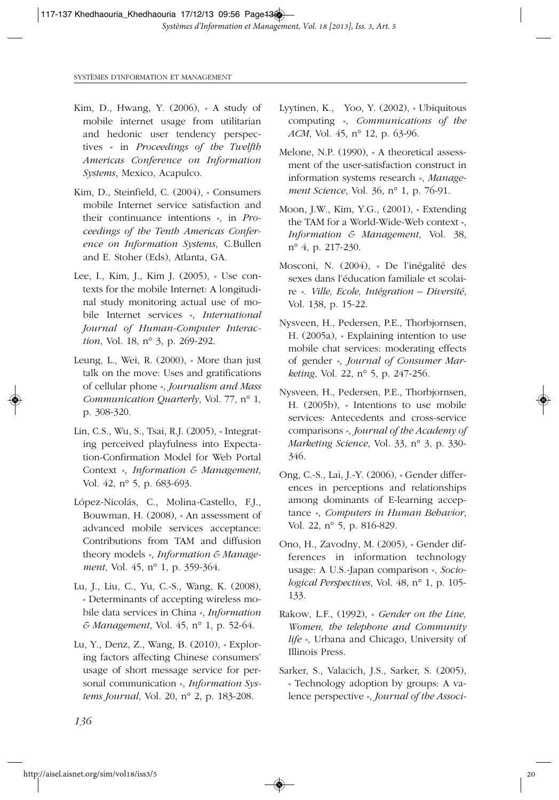- Kim, D., Hwang, Y. (2006), « A study of mobile internet usage from utilitarian and hedonic user tendency perspectives » in *Proceedings of the Twelfth Americas Conference on Information Systems*, Mexico, Acapulco.
- Kim, D., Steinfield, C. (2004), « Consumers mobile Internet service satisfaction and their continuance intentions », in *Proceedings of the Tenth Americas Conference on Information Systems*, C.Bullen and E. Stoher (Eds), Atlanta, GA.
- Lee, I., Kim, J., Kim J. (2005), « Use contexts for the mobile Internet: A longitudinal study monitoring actual use of mobile Internet services », *International Journal of Human-Computer Interaction*, Vol. 18, n° 3, p. 269-292.
- Leung, L., Wei, R. (2000), « More than just talk on the move: Uses and gratifications of cellular phone », *Journalism and Mass Communication Quarterly*, Vol. 77, n° 1, p. 308-320.
- Lin, C.S., Wu, S., Tsai, R.J. (2005), « Integrating perceived playfulness into Expectation-Confirmation Model for Web Portal Context », *Information & Management*, Vol. 42, n° 5, p. 683-693.
- López-Nicolás, C., Molina-Castello, F.J., Bouwman, H. (2008), « An assessment of advanced mobile services acceptance: Contributions from TAM and diffusion theory models », *Information & Management*, Vol. 45, n° 1, p. 359-364.
- Lu, J., Liu, C., Yu, C.-S., Wang, K. (2008), « Determinants of accepting wireless mobile data services in China », *Information & Management*, Vol. 45, n° 1, p. 52-64.
- Lu, Y., Denz, Z., Wang, B. (2010), « Exploring factors affecting Chinese consumers' usage of short message service for personal communication », *Information Systems Journal*, Vol. 20, n° 2, p. 183-208.
- Lyytinen, K., Yoo, Y. (2002), « Ubiquitous computing », *Communications of the ACM*, Vol. 45, n° 12, p. 63-96.
- Melone, N.P. (1990), « A theoretical assessment of the user-satisfaction construct in information systems research », *Management Science*, Vol. 36, n° 1, p. 76-91.
- Moon, J.W., Kim, Y.G., (2001), « Extending the TAM for a World-Wide-Web context », *Information & Management*, Vol. 38, n° 4, p. 217-230.
- Mosconi, N. (2004), « De l'inégalité des sexes dans l'éducation familiale et scolaire ». *Ville, Ecole, Intégration – Diversité*, Vol. 138, p. 15-22.
- Nysveen, H., Pedersen, P.E., Thorbjornsen, H. (2005a), « Explaining intention to use mobile chat services: moderating effects of gender », *Journal of Consumer Marketing*, Vol. 22, n° 5, p. 247-256.
- Nysveen, H., Pedersen, P.E., Thorbjornsen, H. (2005b), « Intentions to use mobile services: Antecedents and cross-service comparisons », *Journal of the Academy of Marketing Science*, Vol. 33, n° 3, p. 330- 346.
- Ong, C.-S., Lai, J.-Y. (2006), « Gender differences in perceptions and relationships among dominants of E-learning acceptance », *Computers in Human Behavior*, Vol. 22, n° 5, p. 816-829.
- Ono, H., Zavodny, M. (2005), « Gender differences in information technology usage: A U.S.-Japan comparison », *Sociological Perspectives*, Vol. 48, n° 1, p. 105- 133.
- Rakow, L.F., (1992), « *Gender on the Line, Women, the telephone and Community life* », Urbana and Chicago, University of Illinois Press.
- Sarker, S., Valacich, J.S., Sarker, S. (2005), « Technology adoption by groups: A valence perspective », *Journal of the Associ-*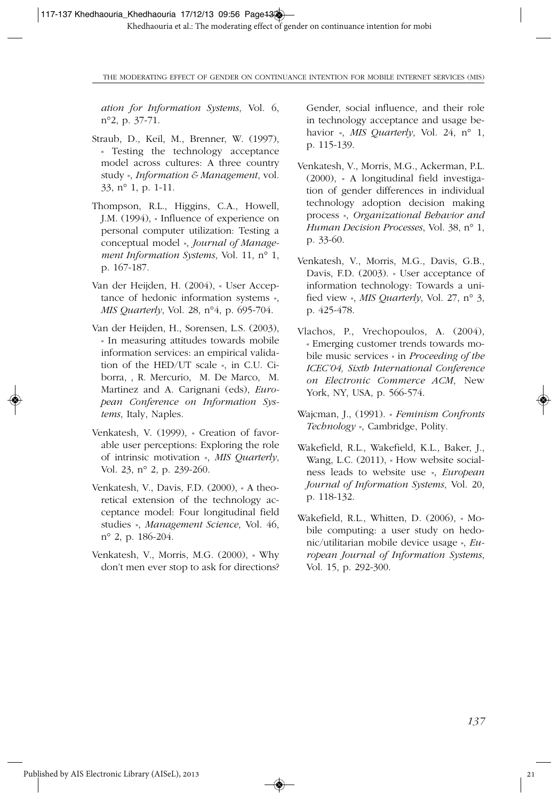*ation for Information Systems*, Vol. 6, n°2, p. 37-71.

- Straub, D., Keil, M., Brenner, W. (1997), « Testing the technology acceptance model across cultures: A three country study », *Information & Management*, vol. 33, n° 1, p. 1-11.
- Thompson, R.L., Higgins, C.A., Howell, J.M. (1994), « Influence of experience on personal computer utilization: Testing a conceptual model », *Journal of Management Information Systems*, Vol. 11, n° 1, p. 167-187.
- Van der Heijden, H. (2004), « User Acceptance of hedonic information systems », *MIS Quarterly*, Vol. 28, n°4, p. 695-704.
- Van der Heijden, H., Sorensen, L.S. (2003), « In measuring attitudes towards mobile information services: an empirical validation of the HED/UT scale », in C.U. Ciborra, , R. Mercurio, M. De Marco, M. Martinez and A. Carignani (eds), *European Conference on Information Systems*, Italy, Naples.
- Venkatesh, V. (1999), « Creation of favorable user perceptions: Exploring the role of intrinsic motivation », *MIS Quarterly*, Vol. 23, n° 2, p. 239-260.
- Venkatesh, V., Davis, F.D. (2000), « A theoretical extension of the technology acceptance model: Four longitudinal field studies », *Management Science*, Vol. 46, n° 2, p. 186-204.
- Venkatesh, V., Morris, M.G. (2000), « Why don't men ever stop to ask for directions?

Gender, social influence, and their role in technology acceptance and usage behavior », *MIS Quarterly*, Vol. 24, n° 1, p. 115-139.

- Venkatesh, V., Morris, M.G., Ackerman, P.L. (2000), « A longitudinal field investigation of gender differences in individual technology adoption decision making process », *Organizational Behavior and Human Decision Processes*, Vol. 38, n° 1, p. 33-60.
- Venkatesh, V., Morris, M.G., Davis, G.B., Davis, F.D. (2003). « User acceptance of information technology: Towards a unified view », *MIS Quarterly*, Vol. 27, n° 3, p. 425-478.
- Vlachos, P., Vrechopoulos, A. (2004), « Emerging customer trends towards mobile music services » in *Proceeding of the ICEC'04, Sixth International Conference on Electronic Commerce ACM*, New York, NY, USA, p. 566-574.
- Wajcman, J., (1991). « *Feminism Confronts Technology* », Cambridge, Polity.
- Wakefield, R.L., Wakefield, K.L., Baker, J., Wang, L.C. (2011), « How website socialness leads to website use », *European Journal of Information Systems*, Vol. 20, p. 118-132.
- Wakefield, R.L., Whitten, D. (2006), « Mobile computing: a user study on hedonic/utilitarian mobile device usage », *European Journal of Information Systems*, Vol. 15, p. 292-300.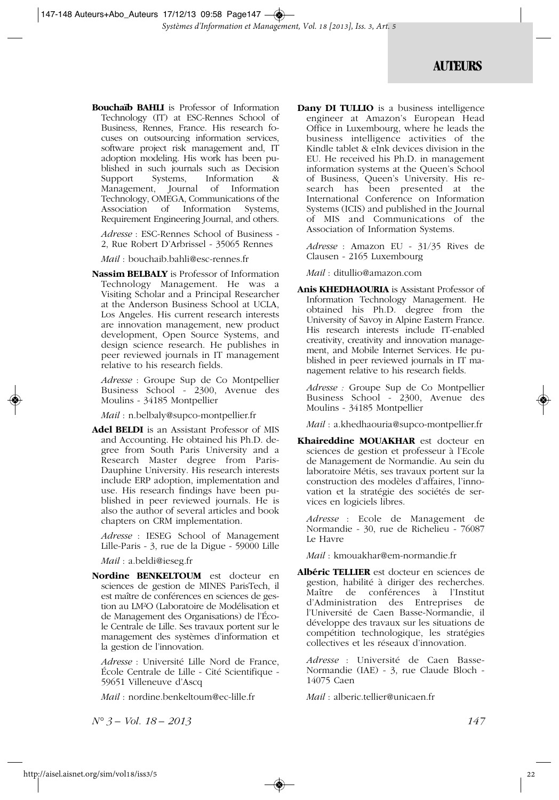147-148 Auteurs+Abo\_Auteurs 17/12/13 09:58 Page147  $-\circledast$ *Systèmes d'Information et Management, Vol. 18 [2013], Iss. 3, Art. 5*

**Bouchaïb BAHLI** is Professor of Information Technology (IT) at ESC-Rennes School of Business, Rennes, France. His research focuses on outsourcing information services, software project risk management and, IT adoption modeling. His work has been published in such journals such as Decision<br>Support Systems, Information & Support Systems, Information & Management, Journal of Information Technology, OMEGA, Communications of the Association of Information Systems, Requirement Engineering Journal, and others.

*Adresse* : ESC-Rennes School of Business - 2, Rue Robert D'Arbrissel - 35065 Rennes

*Mail* : bouchaib.bahli@esc-rennes.fr

**Nassim BELBALY** is Professor of Information Technology Management. He was a Visiting Scholar and a Principal Researcher at the Anderson Business School at UCLA, Los Angeles. His current research interests are innovation management, new product development, Open Source Systems, and design science research. He publishes in peer reviewed journals in IT management relative to his research fields.

*Adresse* : Groupe Sup de Co Montpellier Business School - 2300, Avenue des Moulins - 34185 Montpellier

*Mail* : n.belbaly@supco-montpellier.fr

**Adel BELDI** is an Assistant Professor of MIS and Accounting. He obtained his Ph.D. degree from South Paris University and a Research Master degree from Paris-Dauphine University. His research interests include ERP adoption, implementation and use. His research findings have been published in peer reviewed journals. He is also the author of several articles and book chapters on CRM implementation.

*Adresse* : IESEG School of Management Lille-Paris - 3, rue de la Digue - 59000 Lille

*Mail* : a.beldi@ieseg.fr

**Nordine BENKELTOUM** est docteur en sciences de gestion de MINES ParisTech, il est maître de conférences en sciences de gestion au LM²O (Laboratoire de Modélisation et de Management des Organisations) de l'École Centrale de Lille. Ses travaux portent sur le management des systèmes d'information et la gestion de l'innovation.

*Adresse* : Université Lille Nord de France, École Centrale de Lille - Cité Scientifique - 59651 Villeneuve d'Ascq

*Mail* : nordine.benkeltoum@ec-lille.fr

*N° 3 – Vol. 18 – 2013 147*

**Dany DI TULLIO** is a business intelligence engineer at Amazon's European Head Office in Luxembourg, where he leads the business intelligence activities of the Kindle tablet & eInk devices division in the EU. He received his Ph.D. in management information systems at the Queen's School of Business, Queen's University. His research has been presented at the International Conference on Information Systems (ICIS) and published in the Journal of MIS and Communications of the Association of Information Systems.

*Adresse* : Amazon EU - 31/35 Rives de Clausen - 2165 Luxembourg

*Mail* : ditullio@amazon.com

**Anis KHEDHAOURIA** is Assistant Professor of Information Technology Management. He obtained his Ph.D. degree from the University of Savoy in Alpine Eastern France. His research interests include IT-enabled creativity, creativity and innovation management, and Mobile Internet Services. He published in peer reviewed journals in IT management relative to his research fields.

*Adresse :* Groupe Sup de Co Montpellier Business School - 2300, Avenue des Moulins - 34185 Montpellier

*Mail* : a.khedhaouria@supco-montpellier.fr

**Khaireddine MOUAKHAR** est docteur en sciences de gestion et professeur à l'Ecole de Management de Normandie. Au sein du laboratoire Métis, ses travaux portent sur la construction des modèles d'affaires, l'innovation et la stratégie des sociétés de services en logiciels libres.

*Adresse* : Ecole de Management de Normandie - 30, rue de Richelieu - 76087 Le Havre

*Mail* : kmouakhar@em-normandie.fr

**Albéric TELLIER** est docteur en sciences de gestion, habilité à diriger des recherches. Maître de conférences à l'Institut d'Administration des Entreprises de l'Université de Caen Basse-Normandie, il développe des travaux sur les situations de compétition technologique, les stratégies collectives et les réseaux d'innovation.

*Adresse* : Université de Caen Basse-Normandie (IAE) - 3, rue Claude Bloch - 14075 Caen

*Mail* : alberic.tellier@unicaen.fr